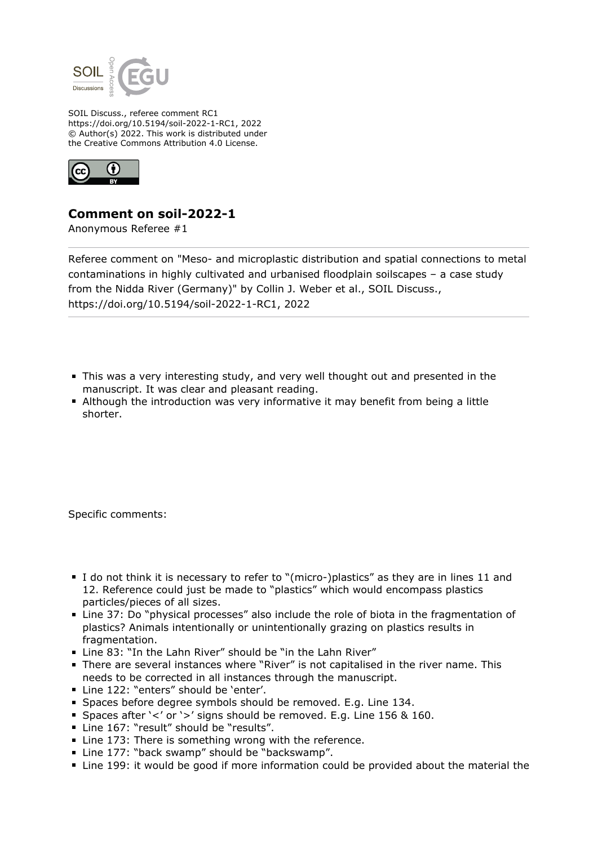

SOIL Discuss., referee comment RC1 https://doi.org/10.5194/soil-2022-1-RC1, 2022 © Author(s) 2022. This work is distributed under the Creative Commons Attribution 4.0 License.



## **Comment on soil-2022-1**

Anonymous Referee #1

Referee comment on "Meso- and microplastic distribution and spatial connections to metal contaminations in highly cultivated and urbanised floodplain soilscapes – a case study from the Nidda River (Germany)" by Collin J. Weber et al., SOIL Discuss., https://doi.org/10.5194/soil-2022-1-RC1, 2022

- This was a very interesting study, and very well thought out and presented in the manuscript. It was clear and pleasant reading.
- Although the introduction was very informative it may benefit from being a little shorter.

Specific comments:

- I do not think it is necessary to refer to "(micro-)plastics" as they are in lines 11 and 12. Reference could just be made to "plastics" which would encompass plastics particles/pieces of all sizes.
- Line 37: Do "physical processes" also include the role of biota in the fragmentation of plastics? Animals intentionally or unintentionally grazing on plastics results in fragmentation.
- Line 83: "In the Lahn River" should be "in the Lahn River"
- There are several instances where "River" is not capitalised in the river name. This needs to be corrected in all instances through the manuscript.
- Line 122: "enters" should be 'enter'.
- Spaces before degree symbols should be removed. E.g. Line 134.
- Spaces after '<' or '>' signs should be removed. E.g. Line 156 & 160.
- **Line 167: "result" should be "results".**
- Line 173: There is something wrong with the reference.
- Line 177: "back swamp" should be "backswamp".
- Line 199: it would be good if more information could be provided about the material the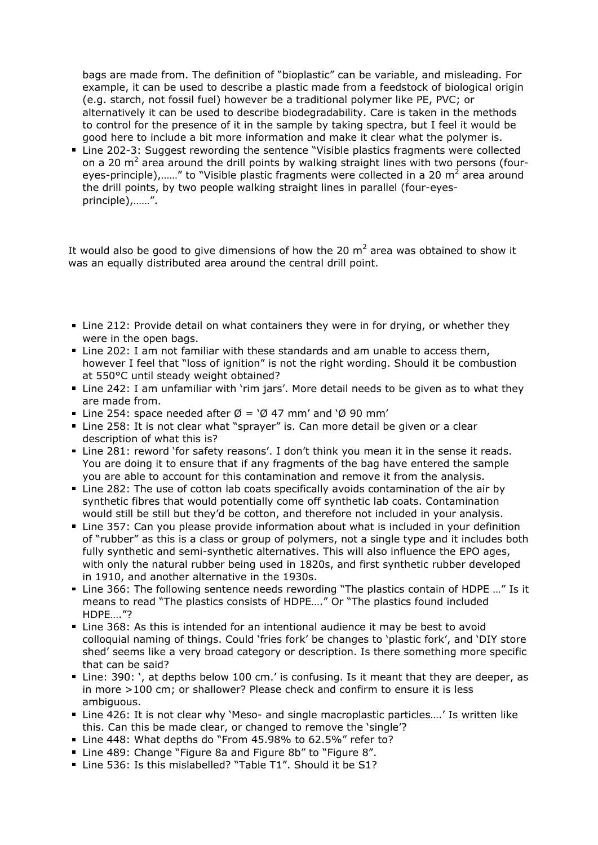bags are made from. The definition of "bioplastic" can be variable, and misleading. For example, it can be used to describe a plastic made from a feedstock of biological origin (e.g. starch, not fossil fuel) however be a traditional polymer like PE, PVC; or alternatively it can be used to describe biodegradability. Care is taken in the methods to control for the presence of it in the sample by taking spectra, but I feel it would be good here to include a bit more information and make it clear what the polymer is.

■ Line 202-3: Suggest rewording the sentence "Visible plastics fragments were collected on a 20 m<sup>2</sup> area around the drill points by walking straight lines with two persons (foureyes-principle),......" to "Visible plastic fragments were collected in a 20 m<sup>2</sup> area around the drill points, by two people walking straight lines in parallel (four-eyesprinciple),……".

It would also be good to give dimensions of how the 20  $m^2$  area was obtained to show it was an equally distributed area around the central drill point.

- Line 212: Provide detail on what containers they were in for drying, or whether they were in the open bags.
- Line 202: I am not familiar with these standards and am unable to access them, however I feel that "loss of ignition" is not the right wording. Should it be combustion at 550°C until steady weight obtained?
- Line 242: I am unfamiliar with 'rim jars'. More detail needs to be given as to what they are made from.
- Line 254: space needed after  $\emptyset$  = ' $\emptyset$  47 mm' and ' $\emptyset$  90 mm'
- Line 258: It is not clear what "sprayer" is. Can more detail be given or a clear description of what this is?
- Line 281: reword 'for safety reasons'. I don't think you mean it in the sense it reads. You are doing it to ensure that if any fragments of the bag have entered the sample you are able to account for this contamination and remove it from the analysis.
- Line 282: The use of cotton lab coats specifically avoids contamination of the air by synthetic fibres that would potentially come off synthetic lab coats. Contamination would still be still but they'd be cotton, and therefore not included in your analysis.
- Line 357: Can you please provide information about what is included in your definition of "rubber" as this is a class or group of polymers, not a single type and it includes both fully synthetic and semi-synthetic alternatives. This will also influence the EPO ages, with only the natural rubber being used in 1820s, and first synthetic rubber developed in 1910, and another alternative in the 1930s.
- Line 366: The following sentence needs rewording "The plastics contain of HDPE ..." Is it means to read "The plastics consists of HDPE…." Or "The plastics found included HDPE…."?
- Line 368: As this is intended for an intentional audience it may be best to avoid colloquial naming of things. Could 'fries fork' be changes to 'plastic fork', and 'DIY store shed' seems like a very broad category or description. Is there something more specific that can be said?
- Line: 390: ', at depths below 100 cm.' is confusing. Is it meant that they are deeper, as in more >100 cm; or shallower? Please check and confirm to ensure it is less ambiguous.
- Line 426: It is not clear why 'Meso- and single macroplastic particles....' Is written like this. Can this be made clear, or changed to remove the 'single'?
- Line 448: What depths do "From 45.98% to 62.5%" refer to?
- Line 489: Change "Figure 8a and Figure 8b" to "Figure 8".
- Line 536: Is this mislabelled? "Table T1". Should it be S1?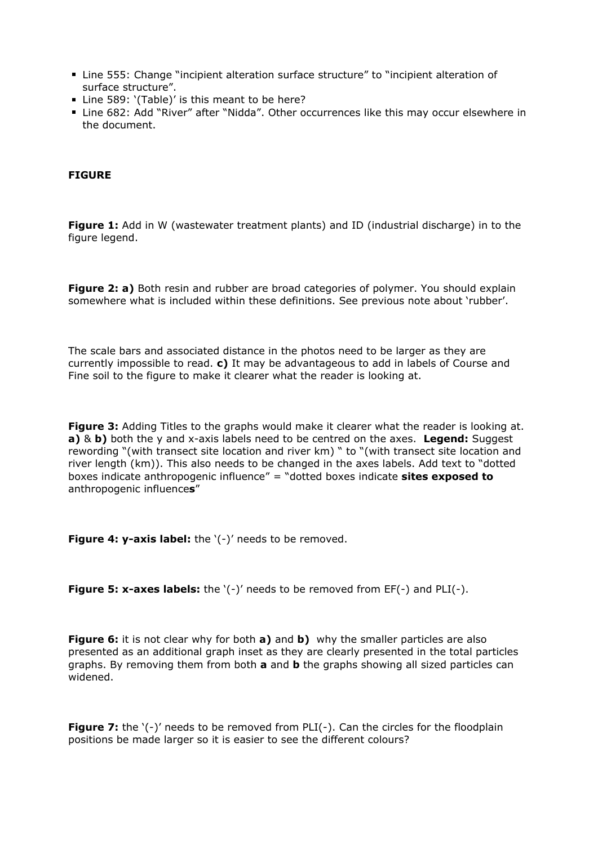- Line 555: Change "incipient alteration surface structure" to "incipient alteration of surface structure".
- Line 589: '(Table)' is this meant to be here?
- Line 682: Add "River" after "Nidda". Other occurrences like this may occur elsewhere in the document.

## **FIGURE**

**Figure 1:** Add in W (wastewater treatment plants) and ID (industrial discharge) in to the figure legend.

**Figure 2: a)** Both resin and rubber are broad categories of polymer. You should explain somewhere what is included within these definitions. See previous note about 'rubber'.

The scale bars and associated distance in the photos need to be larger as they are currently impossible to read. **c)** It may be advantageous to add in labels of Course and Fine soil to the figure to make it clearer what the reader is looking at.

**Figure 3:** Adding Titles to the graphs would make it clearer what the reader is looking at. **a)** & **b)** both the y and x-axis labels need to be centred on the axes. **Legend:** Suggest rewording "(with transect site location and river km) " to "(with transect site location and river length (km)). This also needs to be changed in the axes labels. Add text to "dotted boxes indicate anthropogenic influence" = "dotted boxes indicate **sites exposed to** anthropogenic influence**s**"

**Figure 4: y-axis label:** the '(-)' needs to be removed.

**Figure 5: x-axes labels:** the '(-)' needs to be removed from EF(-) and PLI(-).

**Figure 6:** it is not clear why for both **a)** and **b)** why the smaller particles are also presented as an additional graph inset as they are clearly presented in the total particles graphs. By removing them from both **a** and **b** the graphs showing all sized particles can widened.

**Figure 7:** the '(-)' needs to be removed from PLI(-). Can the circles for the floodplain positions be made larger so it is easier to see the different colours?